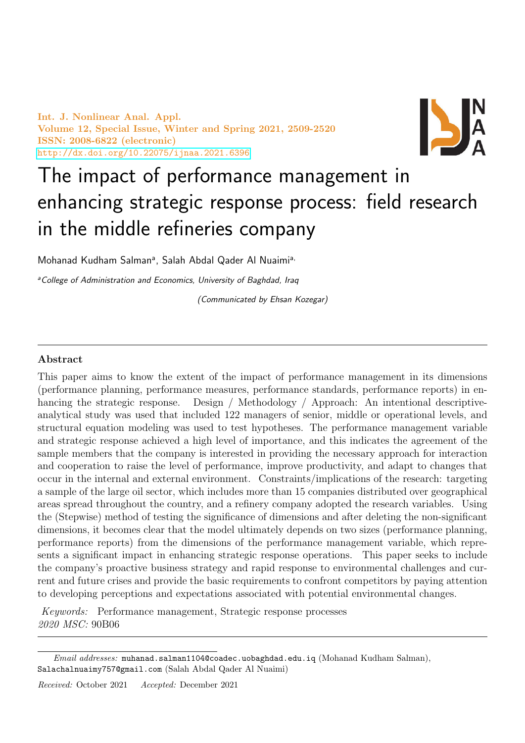Int. J. Nonlinear Anal. Appl. Volume 12, Special Issue, Winter and Spring 2021, 2509-2520 ISSN: 2008-6822 (electronic) <http://dx.doi.org/10.22075/ijnaa.2021.6396>



# The impact of performance management in enhancing strategic response process: field research in the middle refineries company

Mohanad Kudham Salman<sup>a</sup>, Salah Abdal Qader Al Nuaimi<sup>a,</sup>

<sup>a</sup> College of Administration and Economics, University of Baghdad, Iraq

(Communicated by Ehsan Kozegar)

# Abstract

This paper aims to know the extent of the impact of performance management in its dimensions (performance planning, performance measures, performance standards, performance reports) in enhancing the strategic response. Design / Methodology / Approach: An intentional descriptiveanalytical study was used that included 122 managers of senior, middle or operational levels, and structural equation modeling was used to test hypotheses. The performance management variable and strategic response achieved a high level of importance, and this indicates the agreement of the sample members that the company is interested in providing the necessary approach for interaction and cooperation to raise the level of performance, improve productivity, and adapt to changes that occur in the internal and external environment. Constraints/implications of the research: targeting a sample of the large oil sector, which includes more than 15 companies distributed over geographical areas spread throughout the country, and a refinery company adopted the research variables. Using the (Stepwise) method of testing the significance of dimensions and after deleting the non-significant dimensions, it becomes clear that the model ultimately depends on two sizes (performance planning, performance reports) from the dimensions of the performance management variable, which represents a significant impact in enhancing strategic response operations. This paper seeks to include the company's proactive business strategy and rapid response to environmental challenges and current and future crises and provide the basic requirements to confront competitors by paying attention to developing perceptions and expectations associated with potential environmental changes.

Keywords: Performance management, Strategic response processes 2020 MSC: 90B06

Email addresses: muhanad.salman1104@coadec.uobaghdad.edu.iq (Mohanad Kudham Salman), Salachalnuaimy757@gmail.com (Salah Abdal Qader Al Nuaimi)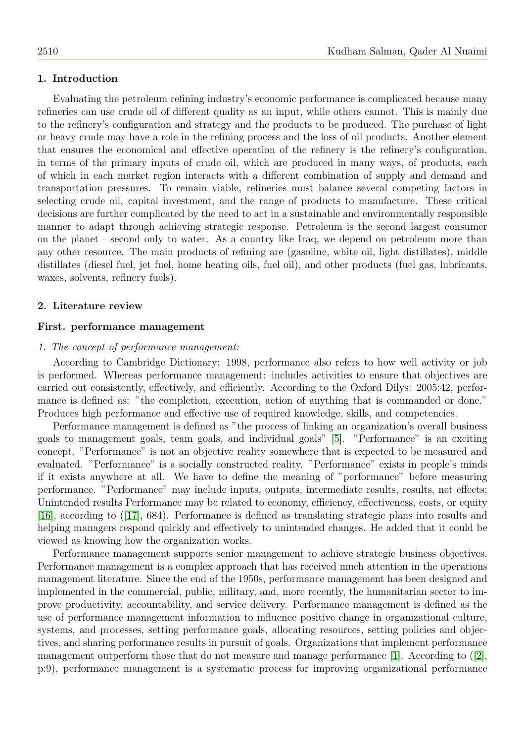### 1. Introduction

Evaluating the petroleum refining industry's economic performance is complicated because many refineries can use crude oil of different quality as an input, while others cannot. This is mainly due to the refinery's configuration and strategy and the products to be produced. The purchase of light or heavy crude may have a role in the refining process and the loss of oil products. Another element that ensures the economical and effective operation of the refinery is the refinery's configuration, in terms of the primary inputs of crude oil, which are produced in many ways, of products, each of which in each market region interacts with a different combination of supply and demand and transportation pressures. To remain viable, refineries must balance several competing factors in selecting crude oil, capital investment, and the range of products to manufacture. These critical decisions are further complicated by the need to act in a sustainable and environmentally responsible manner to adapt through achieving strategic response. Petroleum is the second largest consumer on the planet - second only to water. As a country like Iraq, we depend on petroleum more than any other resource. The main products of refining are (gasoline, white oil, light distillates), middle distillates (diesel fuel, jet fuel, home heating oils, fuel oil), and other products (fuel gas, lubricants, waxes, solvents, refinery fuels).

#### 2. Literature review

#### First. performance management

#### 1. The concept of performance management:

According to Cambridge Dictionary: 1998, performance also refers to how well activity or job is performed. Whereas performance management: includes activities to ensure that objectives are carried out consistently, effectively, and efficiently. According to the Oxford Dilys: 2005:42, performance is defined as: "the completion, execution, action of anything that is commanded or done." Produces high performance and effective use of required knowledge, skills, and competencies.

Performance management is defined as "the process of linking an organization's overall business goals to management goals, team goals, and individual goals" [\[5\]](#page-11-0). "Performance" is an exciting concept. "Performance" is not an objective reality somewhere that is expected to be measured and evaluated. "Performance" is a socially constructed reality. "Performance" exists in people's minds if it exists anywhere at all. We have to define the meaning of "performance" before measuring performance. "Performance" may include inputs, outputs, intermediate results, results, net effects; Unintended results Performance may be related to economy, efficiency, effectiveness, costs, or equity [\[16\]](#page-11-1), according to ([\[17\]](#page-11-2), 684). Performance is defined as translating strategic plans into results and helping managers respond quickly and effectively to unintended changes. He added that it could be viewed as knowing how the organization works.

Performance management supports senior management to achieve strategic business objectives. Performance management is a complex approach that has received much attention in the operations management literature. Since the end of the 1950s, performance management has been designed and implemented in the commercial, public, military, and, more recently, the humanitarian sector to improve productivity, accountability, and service delivery. Performance management is defined as the use of performance management information to influence positive change in organizational culture, systems, and processes, setting performance goals, allocating resources, setting policies and objectives, and sharing performance results in pursuit of goals. Organizations that implement performance management outperform those that do not measure and manage performance [\[1\]](#page-11-3). According to  $(2)$ , p:9), performance management is a systematic process for improving organizational performance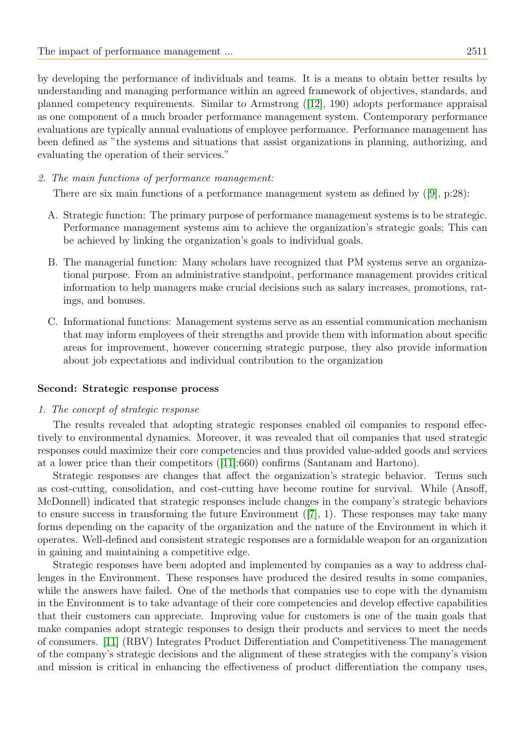by developing the performance of individuals and teams. It is a means to obtain better results by understanding and managing performance within an agreed framework of objectives, standards, and planned competency requirements. Similar to Armstrong ([\[12\]](#page-11-5), 190) adopts performance appraisal as one component of a much broader performance management system. Contemporary performance evaluations are typically annual evaluations of employee performance. Performance management has been defined as "the systems and situations that assist organizations in planning, authorizing, and evaluating the operation of their services."

2. The main functions of performance management:

There are six main functions of a performance management system as defined by ([\[9\]](#page-11-6), p:28):

- A. Strategic function: The primary purpose of performance management systems is to be strategic. Performance management systems aim to achieve the organization's strategic goals; This can be achieved by linking the organization's goals to individual goals.
- B. The managerial function: Many scholars have recognized that PM systems serve an organizational purpose. From an administrative standpoint, performance management provides critical information to help managers make crucial decisions such as salary increases, promotions, ratings, and bonuses.
- C. Informational functions: Management systems serve as an essential communication mechanism that may inform employees of their strengths and provide them with information about specific areas for improvement, however concerning strategic purpose, they also provide information about job expectations and individual contribution to the organization

#### Second: Strategic response process

# 1. The concept of strategic response

The results revealed that adopting strategic responses enabled oil companies to respond effectively to environmental dynamics. Moreover, it was revealed that oil companies that used strategic responses could maximize their core competencies and thus provided value-added goods and services at a lower price than their competitors ([\[11\]](#page-11-7):660) confirms (Santanam and Hartono).

Strategic responses are changes that affect the organization's strategic behavior. Terms such as cost-cutting, consolidation, and cost-cutting have become routine for survival. While (Ansoff, McDonnell) indicated that strategic responses include changes in the company's strategic behaviors to ensure success in transforming the future Environment ([\[7\]](#page-11-8), 1). These responses may take many forms depending on the capacity of the organization and the nature of the Environment in which it operates. Well-defined and consistent strategic responses are a formidable weapon for an organization in gaining and maintaining a competitive edge.

Strategic responses have been adopted and implemented by companies as a way to address challenges in the Environment. These responses have produced the desired results in some companies, while the answers have failed. One of the methods that companies use to cope with the dynamism in the Environment is to take advantage of their core competencies and develop effective capabilities that their customers can appreciate. Improving value for customers is one of the main goals that make companies adopt strategic responses to design their products and services to meet the needs of consumers. [\[11\]](#page-11-7) (RBV) Integrates Product Differentiation and Competitiveness The management of the company's strategic decisions and the alignment of these strategies with the company's vision and mission is critical in enhancing the effectiveness of product differentiation the company uses,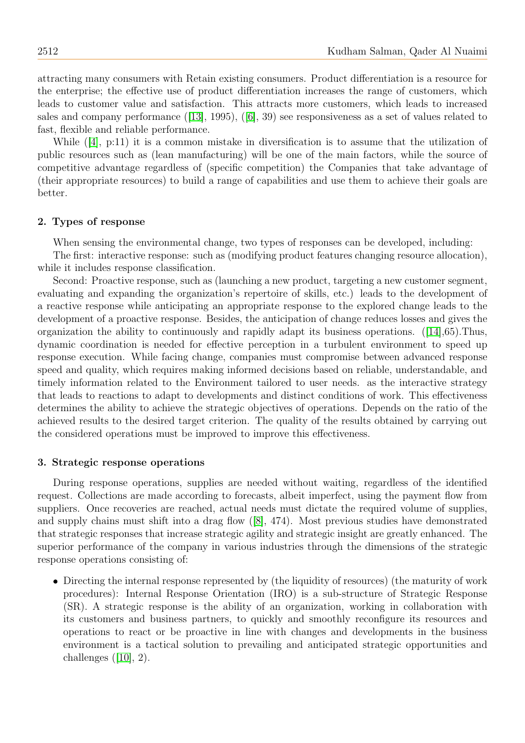attracting many consumers with Retain existing consumers. Product differentiation is a resource for the enterprise; the effective use of product differentiation increases the range of customers, which leads to customer value and satisfaction. This attracts more customers, which leads to increased sales and company performance ([\[13\]](#page-11-9), 1995), ([\[6\]](#page-11-10), 39) see responsiveness as a set of values related to fast, flexible and reliable performance.

While ([\[4\]](#page-11-11), p:11) it is a common mistake in diversification is to assume that the utilization of public resources such as (lean manufacturing) will be one of the main factors, while the source of competitive advantage regardless of (specific competition) the Companies that take advantage of (their appropriate resources) to build a range of capabilities and use them to achieve their goals are better.

#### 2. Types of response

When sensing the environmental change, two types of responses can be developed, including:

The first: interactive response: such as (modifying product features changing resource allocation), while it includes response classification.

Second: Proactive response, such as (launching a new product, targeting a new customer segment, evaluating and expanding the organization's repertoire of skills, etc.) leads to the development of a reactive response while anticipating an appropriate response to the explored change leads to the development of a proactive response. Besides, the anticipation of change reduces losses and gives the organization the ability to continuously and rapidly adapt its business operations. ([\[14\]](#page-11-12),65).Thus, dynamic coordination is needed for effective perception in a turbulent environment to speed up response execution. While facing change, companies must compromise between advanced response speed and quality, which requires making informed decisions based on reliable, understandable, and timely information related to the Environment tailored to user needs. as the interactive strategy that leads to reactions to adapt to developments and distinct conditions of work. This effectiveness determines the ability to achieve the strategic objectives of operations. Depends on the ratio of the achieved results to the desired target criterion. The quality of the results obtained by carrying out the considered operations must be improved to improve this effectiveness.

#### 3. Strategic response operations

During response operations, supplies are needed without waiting, regardless of the identified request. Collections are made according to forecasts, albeit imperfect, using the payment flow from suppliers. Once recoveries are reached, actual needs must dictate the required volume of supplies, and supply chains must shift into a drag flow ([\[8\]](#page-11-13), 474). Most previous studies have demonstrated that strategic responses that increase strategic agility and strategic insight are greatly enhanced. The superior performance of the company in various industries through the dimensions of the strategic response operations consisting of:

 Directing the internal response represented by (the liquidity of resources) (the maturity of work procedures): Internal Response Orientation (IRO) is a sub-structure of Strategic Response (SR). A strategic response is the ability of an organization, working in collaboration with its customers and business partners, to quickly and smoothly reconfigure its resources and operations to react or be proactive in line with changes and developments in the business environment is a tactical solution to prevailing and anticipated strategic opportunities and challenges  $([10], 2)$  $([10], 2)$  $([10], 2)$ .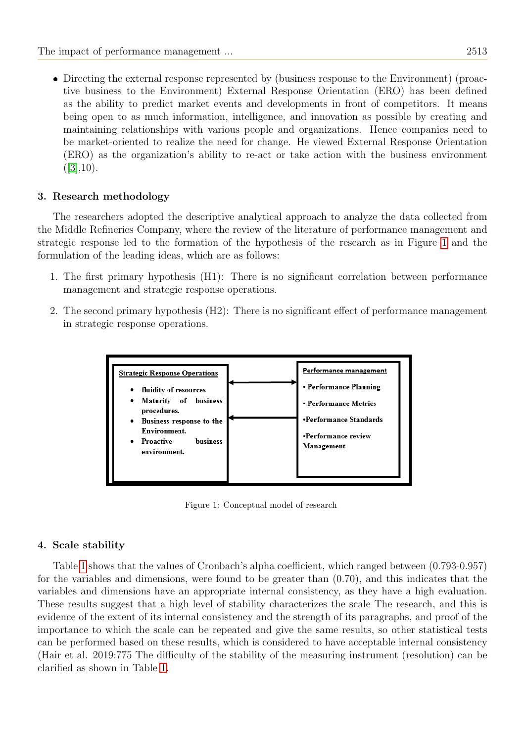• Directing the external response represented by (business response to the Environment) (proactive business to the Environment) External Response Orientation (ERO) has been defined as the ability to predict market events and developments in front of competitors. It means being open to as much information, intelligence, and innovation as possible by creating and maintaining relationships with various people and organizations. Hence companies need to be market-oriented to realize the need for change. He viewed External Response Orientation (ERO) as the organization's ability to re-act or take action with the business environment  $([3], 10).$  $([3], 10).$  $([3], 10).$ 

# 3. Research methodology

The researchers adopted the descriptive analytical approach to analyze the data collected from the Middle Refineries Company, where the review of the literature of performance management and strategic response led to the formation of the hypothesis of the research as in Figure [1](#page-4-0) and the formulation of the leading ideas, which are as follows:

- 1. The first primary hypothesis (H1): There is no significant correlation between performance management and strategic response operations.
- 2. The second primary hypothesis (H2): There is no significant effect of performance management in strategic response operations.



<span id="page-4-0"></span>Figure 1: Conceptual model of research

# 4. Scale stability

Table [1](#page-5-0) shows that the values of Cronbach's alpha coefficient, which ranged between (0.793-0.957) for the variables and dimensions, were found to be greater than (0.70), and this indicates that the variables and dimensions have an appropriate internal consistency, as they have a high evaluation. These results suggest that a high level of stability characterizes the scale The research, and this is evidence of the extent of its internal consistency and the strength of its paragraphs, and proof of the importance to which the scale can be repeated and give the same results, so other statistical tests can be performed based on these results, which is considered to have acceptable internal consistency (Hair et al. 2019:775 The difficulty of the stability of the measuring instrument (resolution) can be clarified as shown in Table [1.](#page-5-0)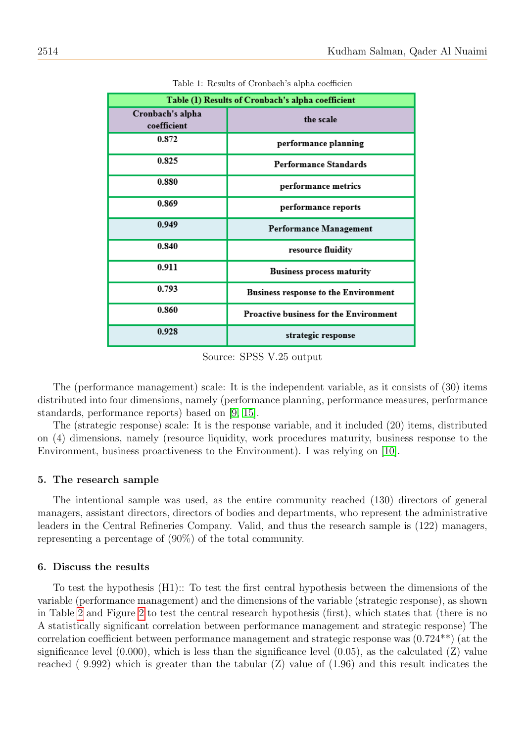<span id="page-5-0"></span>

| Table (1) Results of Cronbach's alpha coefficient |                                              |  |  |  |  |  |  |
|---------------------------------------------------|----------------------------------------------|--|--|--|--|--|--|
| Cronbach's alpha<br>coefficient                   | the scale                                    |  |  |  |  |  |  |
| 0.872                                             | performance planning                         |  |  |  |  |  |  |
| 0.825                                             | Performance Standards<br>performance metrics |  |  |  |  |  |  |
| 0.880                                             |                                              |  |  |  |  |  |  |
| 0.869                                             | performance reports                          |  |  |  |  |  |  |
| 0.949                                             | Performance Management                       |  |  |  |  |  |  |
| 0.840                                             | resource fluidity                            |  |  |  |  |  |  |
| 0.911                                             | <b>Business process maturity</b>             |  |  |  |  |  |  |
| 0.793                                             | <b>Business response to the Environment</b>  |  |  |  |  |  |  |
| 0.860                                             | Proactive business for the Environment       |  |  |  |  |  |  |
| 0.928                                             | strategic response                           |  |  |  |  |  |  |

Table 1: Results of Cronbach's alpha coefficien

Source: SPSS V.25 output

The (performance management) scale: It is the independent variable, as it consists of (30) items distributed into four dimensions, namely (performance planning, performance measures, performance standards, performance reports) based on [\[9,](#page-11-6) [15\]](#page-11-16).

The (strategic response) scale: It is the response variable, and it included (20) items, distributed on (4) dimensions, namely (resource liquidity, work procedures maturity, business response to the Environment, business proactiveness to the Environment). I was relying on [\[10\]](#page-11-14).

#### 5. The research sample

The intentional sample was used, as the entire community reached (130) directors of general managers, assistant directors, directors of bodies and departments, who represent the administrative leaders in the Central Refineries Company. Valid, and thus the research sample is (122) managers, representing a percentage of (90%) of the total community.

#### 6. Discuss the results

To test the hypothesis (H1):: To test the first central hypothesis between the dimensions of the variable (performance management) and the dimensions of the variable (strategic response), as shown in Table [2](#page-6-0) and Figure [2](#page-7-0) to test the central research hypothesis (first), which states that (there is no A statistically significant correlation between performance management and strategic response) The correlation coefficient between performance management and strategic response was (0.724\*\*) (at the significance level  $(0.000)$ , which is less than the significance level  $(0.05)$ , as the calculated  $(Z)$  value reached  $(9.992)$  which is greater than the tabular  $(Z)$  value of  $(1.96)$  and this result indicates the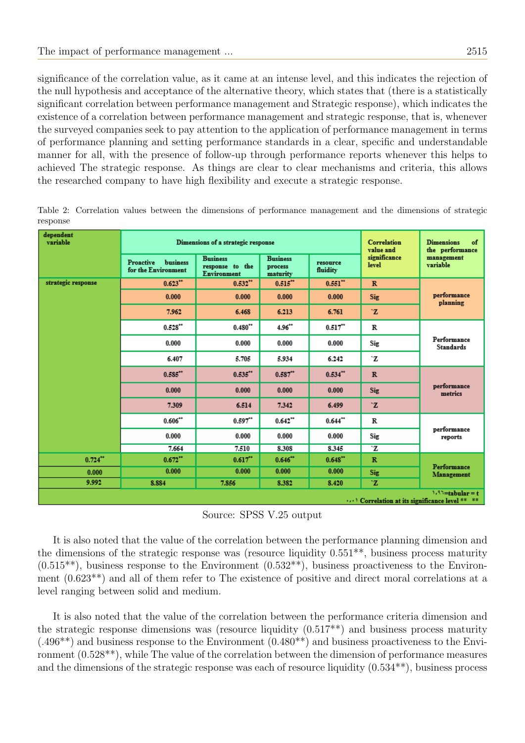significance of the correlation value, as it came at an intense level, and this indicates the rejection of the null hypothesis and acceptance of the alternative theory, which states that (there is a statistically significant correlation between performance management and Strategic response), which indicates the existence of a correlation between performance management and strategic response, that is, whenever the surveyed companies seek to pay attention to the application of performance management in terms of performance planning and setting performance standards in a clear, specific and understandable manner for all, with the presence of follow-up through performance reports whenever this helps to achieved The strategic response. As things are clear to clear mechanisms and criteria, this allows the researched company to have high flexibility and execute a strategic response.

| dependent<br>variable                                                |                                                     | Dimensions of a strategic response                | Correlation<br>value and               | <b>Dimensions</b><br>of<br>the performance |                       |                                 |  |  |
|----------------------------------------------------------------------|-----------------------------------------------------|---------------------------------------------------|----------------------------------------|--------------------------------------------|-----------------------|---------------------------------|--|--|
|                                                                      | Proactive<br><b>business</b><br>for the Environment | <b>Business</b><br>response to the<br>Environment | <b>Business</b><br>process<br>maturity | resource<br>fluidity                       | significance<br>level | management<br>variable          |  |  |
| strategic response                                                   | 0.623                                               | $0.532$ <sup>**</sup>                             | 0.515''                                | $0.551$ <sup>**</sup>                      | $\mathbb{R}$          | performance<br>planning         |  |  |
|                                                                      | 0.000                                               | 0.000                                             | 0.000                                  | 0.000                                      | <b>Sig</b>            |                                 |  |  |
|                                                                      | 7.962                                               | 6.468                                             | 6.213                                  | 6.761                                      | `Z                    |                                 |  |  |
|                                                                      | 0.528                                               | $0.480**$                                         | 4.96"                                  | $0.517$ <sup>**</sup>                      | R                     | Performance<br><b>Standards</b> |  |  |
|                                                                      | 0.000                                               | 0.000                                             | 0.000                                  | 0.000                                      | Sig                   |                                 |  |  |
|                                                                      | 6.407                                               | 5.705                                             | 5.934                                  | 6.242                                      | `Z                    |                                 |  |  |
|                                                                      | 0.585'''                                            | 0.535'''                                          | 0.587'''                               | $0.534$ **                                 | $\mathbb{R}$          | performance<br>metrics          |  |  |
|                                                                      | 0.000                                               | 0.000                                             | 0.000                                  | 0.000                                      | Sig                   |                                 |  |  |
|                                                                      | 7.309                                               | 6.514                                             | 7.342                                  | 6.499                                      | $\mathbf{z}$          |                                 |  |  |
|                                                                      | 0.606"                                              | $0.597$ <sup>**</sup>                             | $0.642$ **                             | $0.644$ **                                 | R                     | performance<br>reports          |  |  |
|                                                                      | 0.000                                               | 0.000                                             | 0.000                                  | 0.000                                      | Sig                   |                                 |  |  |
|                                                                      | 7.664                                               | 7.510                                             | 8.308                                  | 8.345                                      | `Z                    |                                 |  |  |
| $0.724$ **                                                           | $0.672$ <sup>**</sup>                               | 0.617                                             | 0.646"                                 | 0.648"                                     | $\mathbb{R}$          | Performance<br>Management       |  |  |
| 0.000                                                                | 0.000                                               | 0.000                                             | 0.000                                  | 0.000                                      | Sig                   |                                 |  |  |
| 9.992                                                                | 8.884                                               | 7.856                                             | 8.382                                  | 8.420                                      | `Z                    |                                 |  |  |
| $1.93$ =tabular = t<br>) Correlation at its significance level ** ** |                                                     |                                                   |                                        |                                            |                       |                                 |  |  |

<span id="page-6-0"></span>Table 2: Correlation values between the dimensions of performance management and the dimensions of strategic response

Source: SPSS V.25 output

It is also noted that the value of the correlation between the performance planning dimension and the dimensions of the strategic response was (resource liquidity  $0.551**$ , business process maturity  $(0.515^{**})$ , business response to the Environment  $(0.532^{**})$ , business proactiveness to the Environment (0.623\*\*) and all of them refer to The existence of positive and direct moral correlations at a level ranging between solid and medium.

It is also noted that the value of the correlation between the performance criteria dimension and the strategic response dimensions was (resource liquidity (0.517\*\*) and business process maturity  $(.496^{**})$  and business response to the Environment  $(0.480^{**})$  and business proactiveness to the Environment (0.528\*\*), while The value of the correlation between the dimension of performance measures and the dimensions of the strategic response was each of resource liquidity (0.534\*\*), business process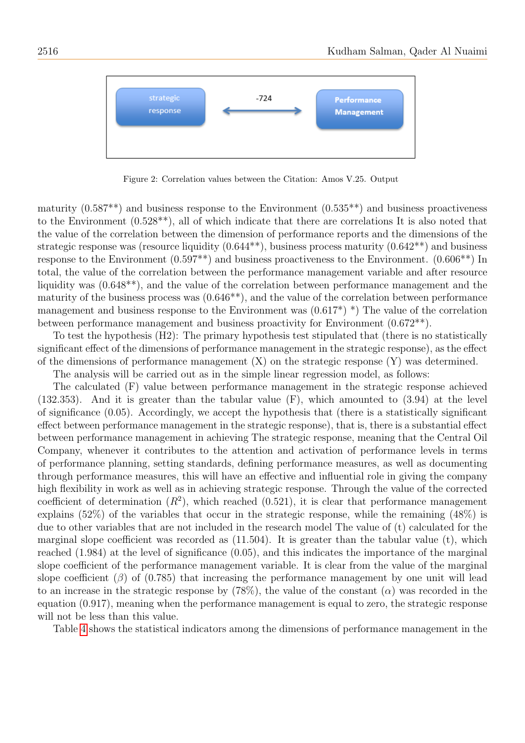

<span id="page-7-0"></span>Figure 2: Correlation values between the Citation: Amos V.25. Output

maturity  $(0.587^{**})$  and business response to the Environment  $(0.535^{**})$  and business proactiveness to the Environment (0.528\*\*), all of which indicate that there are correlations It is also noted that the value of the correlation between the dimension of performance reports and the dimensions of the strategic response was (resource liquidity  $(0.644**)$ , business process maturity  $(0.642**)$ ) and business response to the Environment (0.597\*\*) and business proactiveness to the Environment. (0.606\*\*) In total, the value of the correlation between the performance management variable and after resource liquidity was (0.648\*\*), and the value of the correlation between performance management and the maturity of the business process was (0.646\*\*), and the value of the correlation between performance management and business response to the Environment was  $(0.617^*)$  <sup>\*</sup>) The value of the correlation between performance management and business proactivity for Environment (0.672\*\*).

To test the hypothesis (H2): The primary hypothesis test stipulated that (there is no statistically significant effect of the dimensions of performance management in the strategic response), as the effect of the dimensions of performance management (X) on the strategic response (Y) was determined.

The analysis will be carried out as in the simple linear regression model, as follows:

The calculated (F) value between performance management in the strategic response achieved (132.353). And it is greater than the tabular value (F), which amounted to (3.94) at the level of significance (0.05). Accordingly, we accept the hypothesis that (there is a statistically significant effect between performance management in the strategic response), that is, there is a substantial effect between performance management in achieving The strategic response, meaning that the Central Oil Company, whenever it contributes to the attention and activation of performance levels in terms of performance planning, setting standards, defining performance measures, as well as documenting through performance measures, this will have an effective and influential role in giving the company high flexibility in work as well as in achieving strategic response. Through the value of the corrected coefficient of determination  $(R^2)$ , which reached  $(0.521)$ , it is clear that performance management explains (52%) of the variables that occur in the strategic response, while the remaining (48%) is due to other variables that are not included in the research model The value of (t) calculated for the marginal slope coefficient was recorded as  $(11.504)$ . It is greater than the tabular value (t), which reached (1.984) at the level of significance (0.05), and this indicates the importance of the marginal slope coefficient of the performance management variable. It is clear from the value of the marginal slope coefficient  $(\beta)$  of  $(0.785)$  that increasing the performance management by one unit will lead to an increase in the strategic response by (78%), the value of the constant  $(\alpha)$  was recorded in the equation (0.917), meaning when the performance management is equal to zero, the strategic response will not be less than this value.

Table [4](#page-10-0) shows the statistical indicators among the dimensions of performance management in the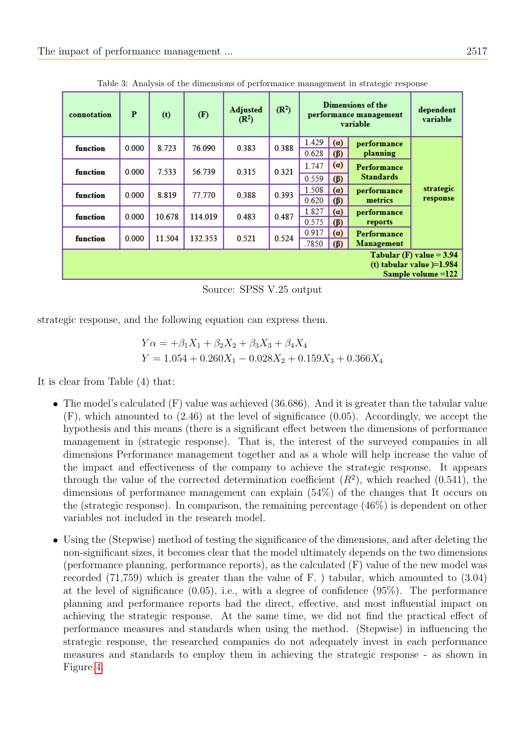| connotation                                                                     | P     | (t)    | (F)     | <b>Adjusted</b><br>(R <sup>2</sup> ) | (R <sup>2</sup> ) | Dimensions of the<br>performance management<br>variable |                  |                                 | dependent<br>variable |
|---------------------------------------------------------------------------------|-------|--------|---------|--------------------------------------|-------------------|---------------------------------------------------------|------------------|---------------------------------|-----------------------|
| function                                                                        | 0.000 | 8.723  | 76.090  | 0.383                                | 0.388             | 1.429<br>0.628                                          | (a)<br>$(\beta)$ | performance<br>planning         | strategic<br>response |
| function                                                                        | 0.000 | 7.533  | 56.739  | 0.315                                | 0.321             | 1.747<br>0.559                                          | (a)<br>$(\beta)$ | Performance<br><b>Standards</b> |                       |
| function                                                                        | 0.000 | 8.819  | 77.770  | 0.388                                | 0.393             | 1.508<br>0.620                                          | (a)<br>$(\beta)$ | performance<br>metrics          |                       |
| function                                                                        | 0.000 | 10.678 | 114.019 | 0.483                                | 0.487             | 1.827<br>0.575                                          | (a)<br>$(\beta)$ | performance<br>reports          |                       |
| function                                                                        | 0.000 | 11.504 | 132.353 | 0.521                                | 0.524             | 0.917<br>.7850                                          | (a)<br>$(\beta)$ | Performance<br>Management       |                       |
| Tabular (F) value $= 3.94$<br>(t) tabular value $)=1.984$<br>Sample volume =122 |       |        |         |                                      |                   |                                                         |                  |                                 |                       |

Table 3: Analysis of the dimensions of performance management in strategic response

Source: SPSS V.25 output

strategic response, and the following equation can express them.

$$
Y\alpha = +\beta_1 X_1 + \beta_2 X_2 + \beta_3 X_3 + \beta_4 X_4
$$
  
 
$$
Y = 1.054 + 0.260X_1 - 0.028X_2 + 0.159X_3 + 0.366X_4
$$

It is clear from Table (4) that:

- The model's calculated (F) value was achieved (36.686). And it is greater than the tabular value (F), which amounted to (2.46) at the level of significance (0.05). Accordingly, we accept the hypothesis and this means (there is a significant effect between the dimensions of performance management in (strategic response). That is, the interest of the surveyed companies in all dimensions Performance management together and as a whole will help increase the value of the impact and effectiveness of the company to achieve the strategic response. It appears through the value of the corrected determination coefficient  $(R^2)$ , which reached  $(0.541)$ , the dimensions of performance management can explain (54%) of the changes that It occurs on the (strategic response). In comparison, the remaining percentage (46%) is dependent on other variables not included in the research model.
- Using the (Stepwise) method of testing the significance of the dimensions, and after deleting the non-significant sizes, it becomes clear that the model ultimately depends on the two dimensions (performance planning, performance reports), as the calculated (F) value of the new model was recorded (71,759) which is greater than the value of F. ) tabular, which amounted to (3.04) at the level of significance (0.05), i.e., with a degree of confidence (95%). The performance planning and performance reports had the direct, effective, and most influential impact on achieving the strategic response. At the same time, we did not find the practical effect of performance measures and standards when using the method. (Stepwise) in influencing the strategic response, the researched companies do not adequately invest in each performance measures and standards to employ them in achieving the strategic response - as shown in Figure [4.](#page-9-0)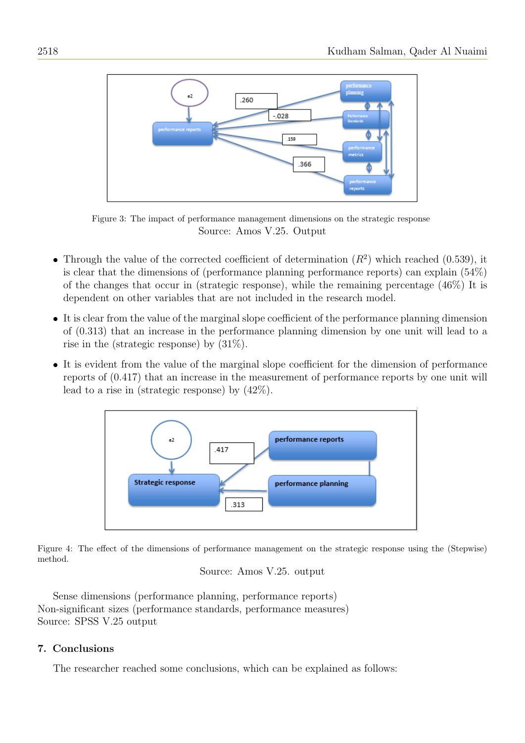

Figure 3: The impact of performance management dimensions on the strategic response Source: Amos V.25. Output

- Through the value of the corrected coefficient of determination  $(R^2)$  which reached (0.539), it is clear that the dimensions of (performance planning performance reports) can explain (54%) of the changes that occur in (strategic response), while the remaining percentage (46%) It is dependent on other variables that are not included in the research model.
- It is clear from the value of the marginal slope coefficient of the performance planning dimension of (0.313) that an increase in the performance planning dimension by one unit will lead to a rise in the (strategic response) by (31%).
- It is evident from the value of the marginal slope coefficient for the dimension of performance reports of (0.417) that an increase in the measurement of performance reports by one unit will lead to a rise in (strategic response) by (42%).



Figure 4: The effect of the dimensions of performance management on the strategic response using the (Stepwise) method.

```
Source: Amos V.25. output
```
Sense dimensions (performance planning, performance reports) Non-significant sizes (performance standards, performance measures) Source: SPSS V.25 output

# 7. Conclusions

The researcher reached some conclusions, which can be explained as follows: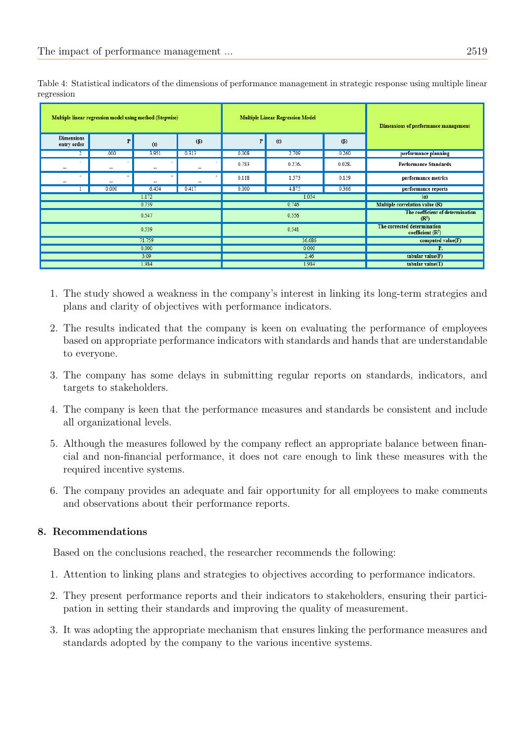| Dimensions of performance management                  |           | <b>Multiple Linear Regression Model</b> |        | Multiple linear regression model using method (Stepwise) |                               |         |                                  |  |
|-------------------------------------------------------|-----------|-----------------------------------------|--------|----------------------------------------------------------|-------------------------------|---------|----------------------------------|--|
|                                                       | $(\beta)$ | (t)                                     | P      | $(\beta)$                                                | (t)                           | P       | <b>Dimensions</b><br>entry order |  |
| performance planning                                  | 0.260     | 2.709                                   | 0.008  | 0.313                                                    | 3.951                         | .000    |                                  |  |
| <b>Performance Standards</b>                          | $0.028 -$ | $0.276 -$                               | 0.783  | --                                                       | ۰<br>$\overline{\phantom{a}}$ | ۰<br>-- | $\overline{\phantom{a}}$<br>--   |  |
| performance metrics                                   | 0.159     | 1.573                                   | 0.118  |                                                          | -                             | --      | $\overline{\phantom{a}}$<br>--   |  |
| performance reports                                   | 0.366     | 4.875                                   | 0.000  | 0.417                                                    | 6.454                         | 0.000   |                                  |  |
| (a)                                                   | 1.054     |                                         |        | 1.172                                                    |                               |         |                                  |  |
| Multiple correlation value (R)                        | 0.746     |                                         |        | 0.739                                                    |                               |         |                                  |  |
| The coefficient of determination<br>(R <sup>2</sup> ) | 0.556     |                                         |        | 0.547                                                    |                               |         |                                  |  |
| The corrected determination<br>coefficient $(R^2)$    | 0.541     |                                         | 0.539  |                                                          |                               |         |                                  |  |
| computed value(F)                                     | 36.686    |                                         | 71.759 |                                                          |                               |         |                                  |  |
| P.                                                    | 0.000     |                                         | 0.000  |                                                          |                               |         |                                  |  |
| tabular value(F)                                      | 2.46      |                                         |        | 3.09                                                     |                               |         |                                  |  |
| tabular value(T)                                      | 1.984     |                                         |        | 1.984                                                    |                               |         |                                  |  |

<span id="page-10-0"></span>Table 4: Statistical indicators of the dimensions of performance management in strategic response using multiple linear regression

- 1. The study showed a weakness in the company's interest in linking its long-term strategies and plans and clarity of objectives with performance indicators.
- 2. The results indicated that the company is keen on evaluating the performance of employees based on appropriate performance indicators with standards and hands that are understandable to everyone.
- 3. The company has some delays in submitting regular reports on standards, indicators, and targets to stakeholders.
- 4. The company is keen that the performance measures and standards be consistent and include all organizational levels.
- 5. Although the measures followed by the company reflect an appropriate balance between financial and non-financial performance, it does not care enough to link these measures with the required incentive systems.
- 6. The company provides an adequate and fair opportunity for all employees to make comments and observations about their performance reports.

# 8. Recommendations

Based on the conclusions reached, the researcher recommends the following:

- 1. Attention to linking plans and strategies to objectives according to performance indicators.
- 2. They present performance reports and their indicators to stakeholders, ensuring their participation in setting their standards and improving the quality of measurement.
- 3. It was adopting the appropriate mechanism that ensures linking the performance measures and standards adopted by the company to the various incentive systems.